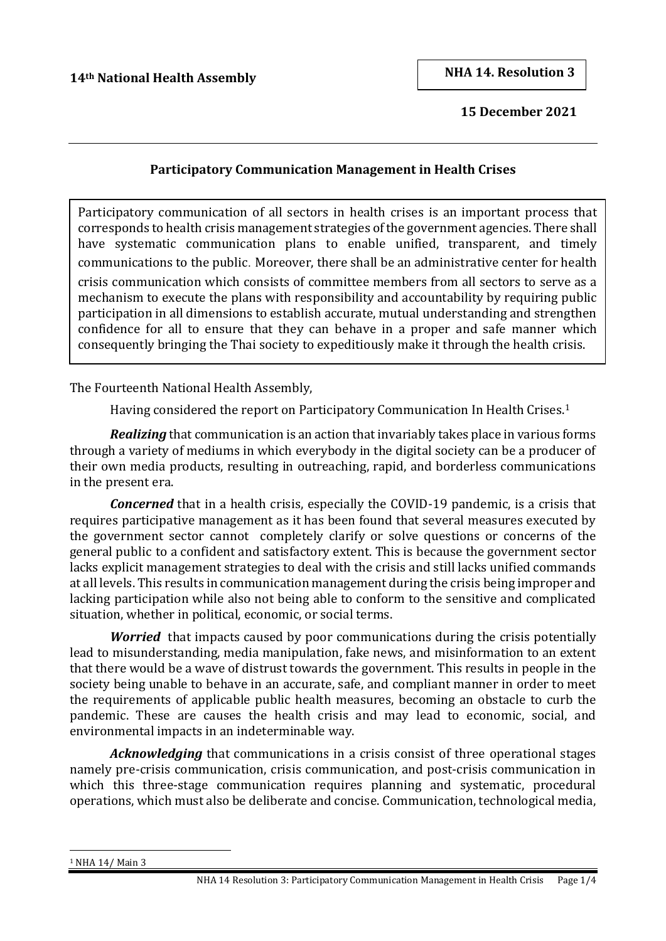**15 December 2021**

## **Participatory Communication Management in Health Crises**

Participatory communication of all sectors in health crises is an important process that corresponds to health crisis management strategies of the government agencies. There shall have systematic communication plans to enable unified, transparent, and timely communications to the public. Moreover, there shall be an administrative center for health

crisis communication which consists of committee members from all sectors to serve as a mechanism to execute the plans with responsibility and accountability by requiring public participation in all dimensions to establish accurate, mutual understanding and strengthen confidence for all to ensure that they can behave in a proper and safe manner which consequently bringing the Thai society to expeditiously make it through the health crisis.

The Fourteenth National Health Assembly,

Having considered the report on Participatory Communication In Health Crises.<sup>1</sup>

*Realizing* that communication is an action that invariably takes place in various forms through a variety of mediums in which everybody in the digital society can be a producer of their own media products, resulting in outreaching, rapid, and borderless communications in the present era.

*Concerned* that in a health crisis, especially the COVID-19 pandemic, is a crisis that requires participative management as it has been found that several measures executed by the government sector cannot completely clarify or solve questions or concerns of the general public to a confident and satisfactory extent. This is because the government sector lacks explicit management strategies to deal with the crisis and still lacks unified commands at all levels. This results in communication management during the crisis being improper and lacking participation while also not being able to conform to the sensitive and complicated situation, whether in political, economic, or social terms.

*Worried* that impacts caused by poor communications during the crisis potentially lead to misunderstanding, media manipulation, fake news, and misinformation to an extent that there would be a wave of distrust towards the government. This results in people in the society being unable to behave in an accurate, safe, and compliant manner in order to meet the requirements of applicable public health measures, becoming an obstacle to curb the pandemic. These are causes the health crisis and may lead to economic, social, and environmental impacts in an indeterminable way.

*Acknowledging* that communications in a crisis consist of three operational stages namely pre-crisis communication, crisis communication, and post-crisis communication in which this three-stage communication requires planning and systematic, procedural operations, which must also be deliberate and concise. Communication, technological media,

<sup>1</sup> NHA 14/ Main 3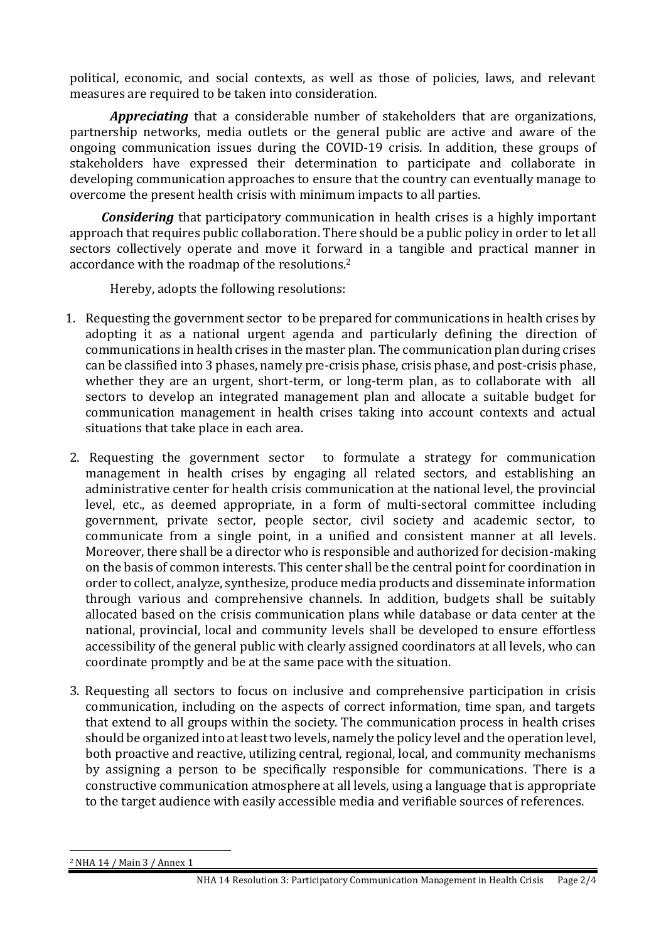political, economic, and social contexts, as well as those of policies, laws, and relevant measures are required to be taken into consideration.

*Appreciating* that a considerable number of stakeholders that are organizations, partnership networks, media outlets or the general public are active and aware of the ongoing communication issues during the COVID-19 crisis. In addition, these groups of stakeholders have expressed their determination to participate and collaborate in developing communication approaches to ensure that the country can eventually manage to overcome the present health crisis with minimum impacts to all parties.

*Considering* that participatory communication in health crises is a highly important approach that requires public collaboration. There should be a public policy in order to let all sectors collectively operate and move it forward in a tangible and practical manner in accordance with the roadmap of the resolutions. 2

Hereby, adopts the following resolutions:

- 1. Requesting the government sector to be prepared for communications in health crises by adopting it as a national urgent agenda and particularly defining the direction of communications in health crises in the master plan. The communication plan during crises can be classified into 3 phases, namely pre-crisis phase, crisis phase, and post-crisis phase, whether they are an urgent, short-term, or long-term plan, as to collaborate with all sectors to develop an integrated management plan and allocate a suitable budget for communication management in health crises taking into account contexts and actual situations that take place in each area.
- 2. Requesting the government sector to formulate a strategy for communication management in health crises by engaging all related sectors, and establishing an administrative center for health crisis communication at the national level, the provincial level, etc., as deemed appropriate, in a form of multi-sectoral committee including government, private sector, people sector, civil society and academic sector, to communicate from a single point, in a unified and consistent manner at all levels. Moreover, there shall be a director who is responsible and authorized for decision-making on the basis of common interests. This center shall be the central point for coordination in order to collect, analyze, synthesize, produce media products and disseminate information through various and comprehensive channels. In addition, budgets shall be suitably allocated based on the crisis communication plans while database or data center at the national, provincial, local and community levels shall be developed to ensure effortless accessibility of the general public with clearly assigned coordinators at all levels, who can coordinate promptly and be at the same pace with the situation.
- 3. Requesting all sectors to focus on inclusive and comprehensive participation in crisis communication, including on the aspects of correct information, time span, and targets that extend to all groups within the society. The communication process in health crises should be organized into at least two levels, namely the policy level and the operation level, both proactive and reactive, utilizing central, regional, local, and community mechanisms by assigning a person to be specifically responsible for communications. There is a constructive communication atmosphere at all levels, using a language that is appropriate to the target audience with easily accessible media and verifiable sources of references.

<sup>2</sup> NHA 14 / Main 3 / Annex 1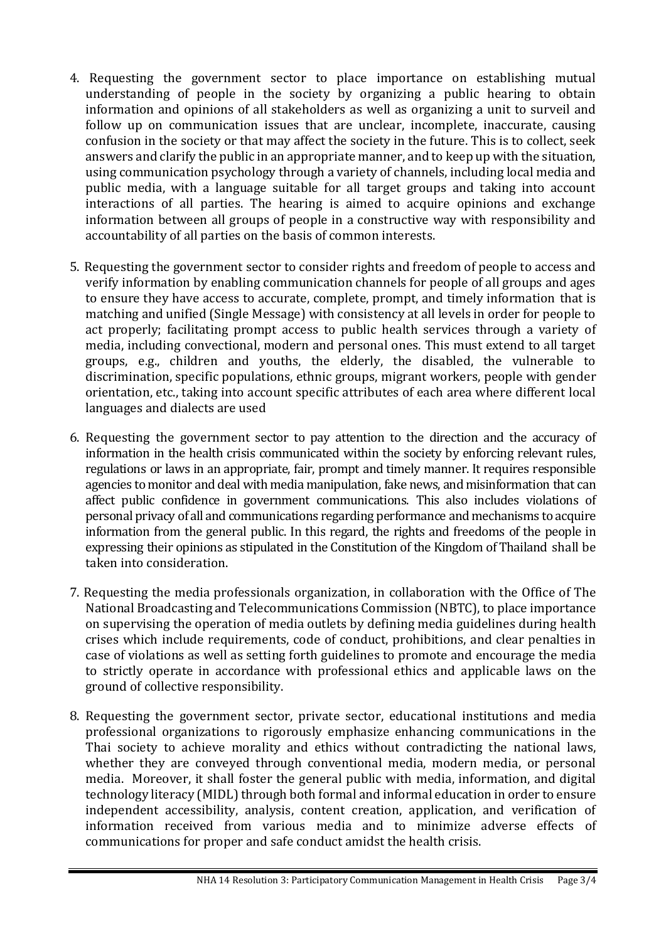- 4. Requesting the government sector to place importance on establishing mutual understanding of people in the society by organizing a public hearing to obtain information and opinions of all stakeholders as well as organizing a unit to surveil and follow up on communication issues that are unclear, incomplete, inaccurate, causing confusion in the society or that may affect the society in the future. This is to collect, seek answers and clarify the public in an appropriate manner, and to keep up with the situation, using communication psychology through a variety of channels, including local media and public media, with a language suitable for all target groups and taking into account interactions of all parties. The hearing is aimed to acquire opinions and exchange information between all groups of people in a constructive way with responsibility and accountability of all parties on the basis of common interests.
- 5. Requesting the government sector to consider rights and freedom of people to access and verify information by enabling communication channels for people of all groups and ages to ensure they have access to accurate, complete, prompt, and timely information that is matching and unified (Single Message) with consistency at all levels in order for people to act properly; facilitating prompt access to public health services through a variety of media, including convectional, modern and personal ones. This must extend to all target groups, e.g., children and youths, the elderly, the disabled, the vulnerable to discrimination, specific populations, ethnic groups, migrant workers, people with gender orientation, etc., taking into account specific attributes of each area where different local languages and dialects are used
- 6. Requesting the government sector to pay attention to the direction and the accuracy of information in the health crisis communicated within the society by enforcing relevant rules, regulations or laws in an appropriate, fair, prompt and timely manner. It requires responsible agencies to monitor and deal with media manipulation, fake news, and misinformation that can affect public confidence in government communications. This also includes violations of personal privacy of all and communications regarding performance and mechanisms to acquire information from the general public. In this regard, the rights and freedoms of the people in expressing their opinions as stipulated in the Constitution of the Kingdom of Thailand shall be taken into consideration.
- 7. Requesting the media professionals organization, in collaboration with the Office of The National Broadcasting and Telecommunications Commission (NBTC), to place importance on supervising the operation of media outlets by defining media guidelines during health crises which include requirements, code of conduct, prohibitions, and clear penalties in case of violations as well as setting forth guidelines to promote and encourage the media to strictly operate in accordance with professional ethics and applicable laws on the ground of collective responsibility.
- 8. Requesting the government sector, private sector, educational institutions and media professional organizations to rigorously emphasize enhancing communications in the Thai society to achieve morality and ethics without contradicting the national laws, whether they are conveyed through conventional media, modern media, or personal media. Moreover, it shall foster the general public with media, information, and digital technology literacy (MIDL) through both formal and informal education in order to ensure independent accessibility, analysis, content creation, application, and verification of information received from various media and to minimize adverse effects of communications for proper and safe conduct amidst the health crisis.